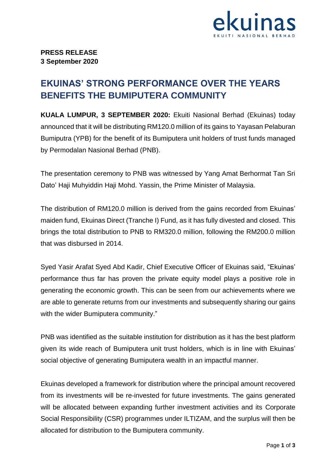

## **EKUINAS' STRONG PERFORMANCE OVER THE YEARS BENEFITS THE BUMIPUTERA COMMUNITY**

**KUALA LUMPUR, 3 SEPTEMBER 2020:** Ekuiti Nasional Berhad (Ekuinas) today announced that it will be distributing RM120.0 million of its gains to Yayasan Pelaburan Bumiputra (YPB) for the benefit of its Bumiputera unit holders of trust funds managed by Permodalan Nasional Berhad (PNB).

The presentation ceremony to PNB was witnessed by Yang Amat Berhormat Tan Sri Dato' Haji Muhyiddin Haji Mohd. Yassin, the Prime Minister of Malaysia.

The distribution of RM120.0 million is derived from the gains recorded from Ekuinas' maiden fund, Ekuinas Direct (Tranche I) Fund, as it has fully divested and closed. This brings the total distribution to PNB to RM320.0 million, following the RM200.0 million that was disbursed in 2014.

Syed Yasir Arafat Syed Abd Kadir, Chief Executive Officer of Ekuinas said, "Ekuinas' performance thus far has proven the private equity model plays a positive role in generating the economic growth. This can be seen from our achievements where we are able to generate returns from our investments and subsequently sharing our gains with the wider Bumiputera community."

PNB was identified as the suitable institution for distribution as it has the best platform given its wide reach of Bumiputera unit trust holders, which is in line with Ekuinas' social objective of generating Bumiputera wealth in an impactful manner.

Ekuinas developed a framework for distribution where the principal amount recovered from its investments will be re-invested for future investments. The gains generated will be allocated between expanding further investment activities and its Corporate Social Responsibility (CSR) programmes under ILTIZAM, and the surplus will then be allocated for distribution to the Bumiputera community.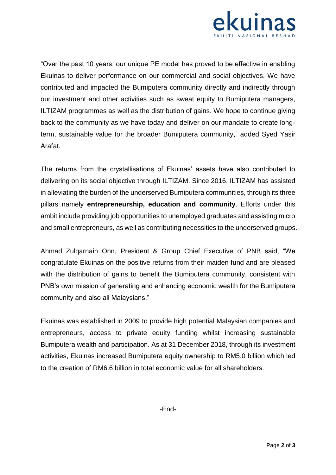

"Over the past 10 years, our unique PE model has proved to be effective in enabling Ekuinas to deliver performance on our commercial and social objectives. We have contributed and impacted the Bumiputera community directly and indirectly through our investment and other activities such as sweat equity to Bumiputera managers, ILTIZAM programmes as well as the distribution of gains. We hope to continue giving back to the community as we have today and deliver on our mandate to create longterm, sustainable value for the broader Bumiputera community," added Syed Yasir Arafat.

The returns from the crystallisations of Ekuinas' assets have also contributed to delivering on its social objective through ILTIZAM. Since 2016, ILTIZAM has assisted in alleviating the burden of the underserved Bumiputera communities, through its three pillars namely **entrepreneurship, education and community**. Efforts under this ambit include providing job opportunities to unemployed graduates and assisting micro and small entrepreneurs, as well as contributing necessities to the underserved groups.

Ahmad Zulqarnain Onn, President & Group Chief Executive of PNB said, "We congratulate Ekuinas on the positive returns from their maiden fund and are pleased with the distribution of gains to benefit the Bumiputera community, consistent with PNB's own mission of generating and enhancing economic wealth for the Bumiputera community and also all Malaysians."

Ekuinas was established in 2009 to provide high potential Malaysian companies and entrepreneurs, access to private equity funding whilst increasing sustainable Bumiputera wealth and participation. As at 31 December 2018, through its investment activities, Ekuinas increased Bumiputera equity ownership to RM5.0 billion which led to the creation of RM6.6 billion in total economic value for all shareholders.

-End-